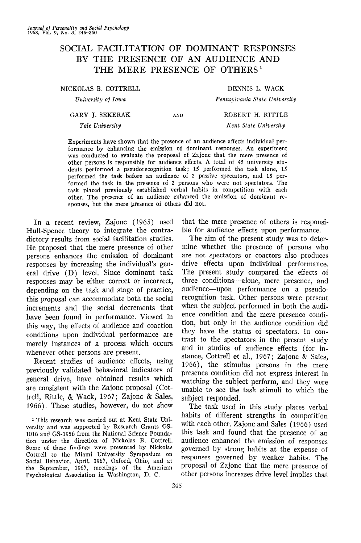# SOCIAL FACILITATION OF DOMINANT RESPONSES BY THE PRESENCE OF AN AUDIENCE AND THE MERE PRESENCE OF OTHERS<sup>1</sup>

| NICKOLAS B. COTTRELL |     | DENNIS L. WACK                |
|----------------------|-----|-------------------------------|
| University of Iowa   |     | Pennsylvania State University |
| GARY J. SEKERAK      | AND | ROBERT H. RITTLE              |
| Yale University      |     | Kent State University         |

Experiments have shown that the presence of an audience affects individual performance by enhancing the emission of dominant responses. An experiment was conducted to evaluate the proposal of Zajonc that the mere presence of other persons is responsible for audience effects. A total of 45 university students performed a pseudorecognition task; 15 performed the task alone, IS performed the task before an audience of 2 passive spectators, and 15 performed the task in the presence of 2 persons who were not spectators. The task placed previously established verbal habits in competition with each other. The presence of an audience enhanced the emission of dominant responses, but the mere presence of others did not.

In a recent review, Zajonc (1965) used Hull-Spence theory to integrate the contradictory results from social facilitation studies. He proposed that the mere presence of other persons enhances the emission of dominant responses by increasing the individual's general drive (D) level. Since dominant task responses may be either correct or incorrect, depending on the task and stage of practice, this proposal can accommodate both the social increments and the social decrements that have been found in performance. Viewed in this way, the effects of audience and coaction conditions upon individual performance are merely instances of a process which occurs whenever other persons are present.

Recent studies of audience effects, using previously validated behavioral indicators of general drive, have obtained results which are consistent with the Zajonc proposal (Cottrell, Rittle, & Wack, 1967; Zajonc & Sales, 1966). These studies, however, do not show

1 This research was carried out at Kent State University and was supported by Research Grants GS-1016 and GS-1956 from the National Science Foundation under the direction of Nickolas B. Cottrell. Some of these findings were presented by Nickolas Cottrell to the Miami University Symposium on Social Behavior, April, 1967, Oxford, Ohio, and at the September, 1967, meetings of the American Psychological Association in Washington, D. C.

that the mere presence of others is responsible for audience effects upon performance.

The aim of the present study was to determine whether the presence of persons who are not spectators or coactors also produces drive effects upon individual performance. The present study compared the effects of three conditions—alone, mere presence, and audience—upon performance on a pseudorecognition task. Other persons were present when the subject performed in both the audience condition and the mere presence condition, but only in the audience condition did they have the status of spectators. In contrast to the spectators in the present study and in studies of audience effects (for instance, Cottrell et al., 1967; Zajonc & Sales, 1966), the stimulus persons in the mere presence condition did not express interest in watching the subject perform, and they were unable to see the task stimuli to which the subject responded.

The task used in this study places verbal habits of different strengths in competition with each other. Zajonc and Sales (1966) used this task and found that the presence of an audience enhanced the emission of responses governed by strong habits at the expense of responses governed by weaker habits. The proposal of Zajonc that the mere presence of other persons increases drive level implies that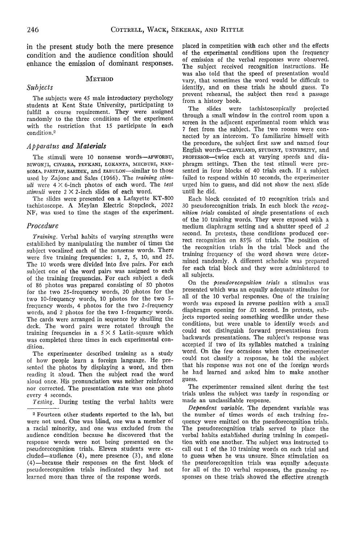in the present study both the mere presence condition and the audience condition should enhance the emission of dominant responses.

## METHOD

#### *Subjects*

The subjects were 45 male introductory psychology students at Kent State University, participating to fulfill a course requirement. They were assigned randomly to the three conditions of the experiment with the restriction that IS participate in each condition.<sup>2</sup>

#### *Apparatus and Materials*

The stimuli were 10 nonsense words—AFWORBU, BIWONJI, CIVADRA, FEVKANI, LOKANTA, MECBURI, NAN-SOMA, PARITAF, SARIDIK, and ZABULON--similar to those used by Zajonc and Sales (1966). The *training stimuli* were  $4 \times 6$ -inch photos of each word. The test *stimuli* were 2 X 2-inch slides of each word.

The slides were presented on a Lafayette KT-800 tachistoscope. A Meylan Electric Stopclock, 2022 NF, was used to time the stages of the experiment.

#### *Procedure*

*Training.* Verbal habits of varying strengths were established by manipulating the number of times the subject vocalized each of the nonsense words. There were five training frequencies: 1, 2, 5, 10, and 25. The 10 words were divided into five pairs. For each subject one of the word pairs was assigned to each of the training frequencies. For each subject a deck of 86 photos was prepared consisting of 50 photos for the two 25-frequency words, 20 photos for the two 10-frequency words, 10 photos for the two 5 frequency words, 4 photos for the two 2-frequency words, and 2 photos for the two 1-frequency words. The cards were arranged in sequence by shuffling the deck. The word pairs were rotated through the training frequencies in a  $5 \times 5$  Latin-square which was completed three times in each experimental condition.

The experimenter described training as a study of how people learn a foreign language. He presented the photos by displaying a word, and then reading it aloud. Then the subject read the word aloud once. His pronunciation was neither reinforced nor corrected. The presentation rate was one photo every 4 seconds.

*Testing.* During testing the verbal habits were

2 Fourteen other students reported to the lab, but were not used. One was blind, one was a member of a racial minority, and one was excluded from the audience condition because he discovered that the response words were not being presented on the pseudorccognition trials. Eleven students were excluded—audience (4), mere presence (3), and alone (4)—because their responses on the first block of pseudorecognition trials indicated they had not learned more than three of the response words.

placed in competition with each other and the effects of the experimental conditions upon the frequency of emission of the verbal responses were observed. The subject received recognition instructions. He was also told that the speed of presentation would vary, that sometimes the word would be difficult to identify, and on these trials he should guess. To prevent rehearsal, the subject then read a passage from a history book.

The slides were tachistoscopically projected through a small window in the control room upon a screen in the adjacent experimental room which was 7 feet from the subject. The two rooms were connected by an intercom. To familiarize himself with the procedure, the subject first saw and named four English words—CLEVELAND, STUDENT, UNIVERSITY, and PROFESSOR—twice each at varying speeds and diaphragm settings. Then the test stimuli were presented in four blocks of 40 trials each. If a subject failed to respond within 10 seconds, the experimenter urged him to guess, and did not show the next slide until he did.

Each block consisted of 10 recognition trials and 30 pseudorecognition trials. In each block the *recognition trials* consisted of single presentations of each of the 10 training words. They were exposed with a medium diaphragm setting and a shutter speed of .2 second. In pretests, these conditions produced correct recognition on 85% of trials. The position of the recognition trials in the trial block and the training frequency of the word shown were determined randomly. A different schedule was prepared for each trial block and they were administered to all subjects.

On the *pseudorecognition trials* a stimulus was presented which was an equally adequate stimulus for all of the 10 verbal responses. One of the training words was exposed in reverse position with a small diaphragm opening for .01 second. In pretests, subjects reported seeing something wordlike under these conditions, but were unable to identify words and could not distinguish forward presentations from backwards presentations. The subject's response was accepted if two of its syllables matched a training word. On the few occasions when the experimenter could not classify a response, he told the subject that his response was not one of the foreign words he had learned and asked him to make another guess.

The experimenter remained silent during the test trials unless the subject was tardy in responding or made an unclassifiable response.

*Dependent variable.* The dependent variable was the number of times words of each training frequency were emitted on the pseudorecognition trials. The pseudorecognition trials served to place the verbal habits established during training in competition with one another. The subject was instructed to call out 1 of the 10 training words on each trial and to guess when he was unsure. Since stimulation on the pseudorecognition trials was equally adequate for all of the 10 verbal responses, the guessing responses on these trials showed the effective strength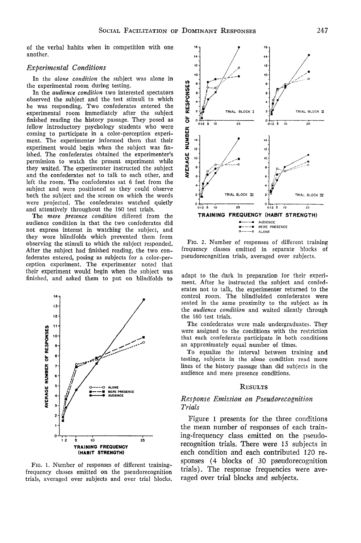of the verbal habits when in competition with one another.

# *Experimental Conditions*

In the *alone condition* the subject was alone in the experimental room during testing.

In the *audience condition* two interested spectators observed the subject and the test stimuli to which he was responding. Two confederates entered the experimental room immediately after the subject finished reading the history passage. They posed as fellow introductory psychology students who were coming to participate in a color-perception experiment. The experimenter informed them that their experiment would begin when the subject was finished. The confederates obtained the experimenter's permission to watch the present experiment while they waited. The experimenter instructed the subject and the confederates not to talk to each other, and left the room. The confederates sat 6 feet from the subject and were positioned so they could observe both the subject and the screen on which the words were projected. The confederates watched quietly and attentively throughout the 160 test trials.

The *mere presence condition* differed from the audience condition in that the two confederates did not express interest in watching the subject, and they wore blindfolds which prevented them from observing the stimuli to which the subject responded. After the subject had finished reading, the two confederates entered, posing as subjects for a color-perception experiment. The experimenter noted that their experiment would begin when the subject was finished, and asked them to put on blindfolds to







FIG. 2. Number of responses of different training frequency classes emitted in separate blocks of pseudorecognition trials, averaged over subjects.

adapt to the dark in preparation for their experiment. After he instructed the subject and confederates not to talk, the experimenter returned to the control room. The blindfolded confederates were seated in the same proximity to the subject as in the *audience condition* and waited silently through the 160 test trials.

The confederates were male undergraduates. They were assigned to the conditions with the restriction that each confederate participate in both conditions an approximately equal number of times.

To equalize the interval between training and testing, subjects in the alone condition read more lines of the history passage than did subjects in the audience and mere presence conditions.

#### RESULTS

## *Response Emission on Pseudorecognition Trials*

Figure 1 presents for the three conditions the mean number of responses of each training-frequency class emitted on the pseudorecognition trials. There were IS subjects in each condition and each contributed 120 responses (4 blocks of 30 pseudorecognition trials). The response frequencies were averaged over trial blocks and subjects.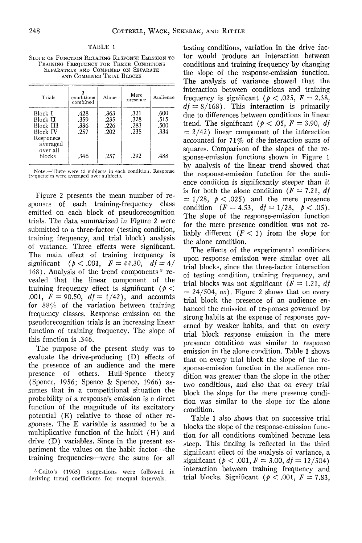#### TABLE 1

SLOPE OP FUNCTION RELATING RESPONSE EMISSION TO TRAINING FREQUENCY FOR THREE CONDITIONS SEPARATELY AND COMBINED ON SEPARATE AND COMBINED TRIAL BLOCKS

| Trials                                                                              | conditions<br>combined       | Alone                        | Mere<br>presence             | Audience                     |
|-------------------------------------------------------------------------------------|------------------------------|------------------------------|------------------------------|------------------------------|
| Block I<br>Block II<br>Block <b>III</b><br><b>Block IV</b><br>Responses<br>averaged | .428<br>.359<br>.336<br>.257 | .363<br>.235<br>.226<br>.202 | .321<br>.328<br>.283<br>.235 | .600<br>.515<br>.500<br>.334 |
| over all<br>blocks                                                                  | .346                         | .257                         | .292                         | .488                         |

Note.—There were IS subjects in eacli condition. Response frequencies were averaged over subjects.

Figure 2 presents the mean number of responses of each training-frequency class emitted on each block of pseudorecognition trials. The data summarized in Figure 2 were submitted to a three-factor (testing condition, training frequency, and trial block) analysis of variance. Three effects were significant. The main effect of training frequency is significant ( $p < .001$ ,  $F = 44.30$ ,  $df = 4/$  $168$ ). Analysis of the trend components  $3$  revealed that the linear component of the training frequency effect is significant  $(p <$ .001,  $F = 90.50$ ,  $df = 1/42$ ), and accounts for  $88\%$  of the variation between training frequency classes. Response emission on the pseudorecognition trials is an increasing linear function of training frequency. The slope of this function is .346.

The purpose of the present study was to evaluate the drive-producing (D) effects of the presence of an audience and the mere presence of others. Hull-Spence theory (Spence, 1956; Spence & Spence, 1966) assumes that in a competitional situation the probability of a response's emission is a direct function of the magnitude of its excitatory potential (E) relative to those of other responses. The E variable is assumed to be a multiplicative function of the habit (H) and drive (D) variables. Since in the present experiment the values on the habit factor—the training frequencies—were the same for all

testing conditions, variation in the drive factor would produce an interaction between conditions and training frequency by changing the slope of the response-emission function. The analysis of variance showed that the interaction between conditions and training frequency is significant ( $p < .025$ ,  $F = 2.38$ ,  $df = 8/168$ . This interaction is primarily due to differences between conditions in linear trend. The significant ( $p < .05$ ,  $F = 3.90$ , *df =* 2/42) linear component of the interaction accounted for 71% of the interaction sums of squares. Comparison of the slopes of the response-emission functions shown in Figure 1 by analysis of the linear trend showed that the response-emission function for the audience condition is significantly steeper than it is for both the alone condition  $(F = 7.21, df)$  $= 1/28$ ,  $\phi < .025$ ) and the mere presence condition  $(F = 4.53, df = 1/28, p < .05)$ . The slope of the response-emission function for the mere presence condition was not reliably different  $(F < 1)$  from the slope for the alone condition.

The effects of the experimental conditions upon response emission were similar over all trial blocks, since the three-factor interaction of testing condition, training frequency, and trial blocks was not significant *(F =* 1.21, *df*  $= 24/504$ , *ns*). Figure 2 shows that on every trial block the presence of an audience enhanced the emission of responses governed by strong habits at the expense of responses governed by weaker habits, and that on every trial block response emission in the mere presence condition was similar to response emission in the alone condition. Table 1 shows that on every trial block the slope of the response-emission function in the audience condition was greater than the slope in the other two conditions, and also that on every trial block the slope for the mere presence condition was similar to the slope for the alone condition.

Table 1 also shows that on successive trial blocks the slope of the response-emission function for all conditions combined became less steep. This finding is reflected in the third significant effect of the analysis of variance, a significant ( $p < .001$ ,  $F = 3.00$ ,  $df = 12/504$ ) interaction between training frequency and trial blocks. Significant ( $p < .001$ ,  $F = 7.83$ ,

<sup>8</sup> Gaito's (1965) suggestions were followed in deriving trend coefficients for unequal intervals.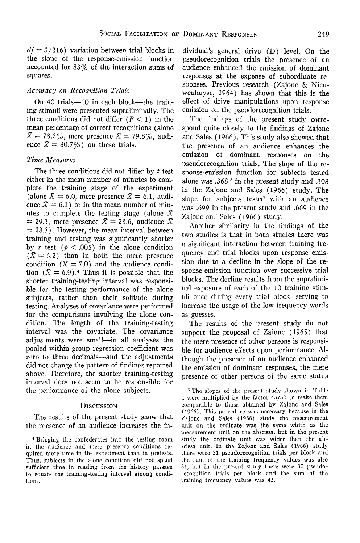$df = 3/216$ ) variation between trial blocks in the slope of the response-emission function accounted for 83% of the interaction sums of squares.

# *Accuracy on Recognition Trials*

On 40 trials—10 in each block—the training stimuli were presented supraliminally. The three conditions did not differ  $(F < 1)$  in the mean percentage of correct recognitions (alone  $\bar{X} = 78.2\%$ , mere presence  $\bar{X} = 79.8\%$ , audience  $\bar{X} = 80.7\%$  on these trials.

## *Time Measures*

The three conditions did not differ by *t* test either in the mean number of minutes to complete the training stage of the experiment (alone  $\bar{X} = 6.0$ , mere presence  $\bar{X} = 6.1$ , audience  $\bar{X} = 6.1$ ) or in the mean number of minutes to complete the testing stage (alone *X*  $=$  29.3, mere presence  $\bar{X} = 28.6$ , audience  $\bar{X}$ *=* 28.3). However, the mean interval between training and testing was significantly shorter by *t* test  $(p < .005)$  in the alone condition  $(\bar{X} = 6.2)$  than in both the mere presence condition  $(X = 7.0)$  and the audience condition  $(\bar{X} = 6.9)^{*}$  Thus it is possible that the shorter training-testing interval was responsible for the testing performance of the alone subjects, rather than their solitude during testing. Analyses of covariance were performed for the comparisons involving the alone condition. The length of the training-testing interval was the covariate, The covariance adjustments were small—in all analyses the pooled within-group regression coefficient was zero to three decimals—and the adjustments did not change the pattern of findings reported above. Therefore, the shorter training-testing interval does not seem to be responsible for the performance of the alone subjects.

#### **DISCUSSION**

The results of the present study show that the presence of an audience increases the individual's general drive (D) level. On the pseudorecognition trials the presence of an audience enhanced the emission of dominant responses at the expense of subordinate responses. Previous research (Zajonc & Nieuwenhuyse, 1964) has shown that this is the effect of drive manipulations upon response emission on the pseudorecognition trials.

The findings of the present study correspond quite closely to the findings of Zajonc and Sales (1966). This study also showed that the presence of an audience enhances the emission of dominant responses on the pseudorecognition trials. The slope of the response-emission function for subjects tested alone was .368 5 in the present study and .308 in the Zajonc and Sales (1966) study. The slope for subjects tested with an audience was .699 in the present study and .669 in the Zajonc and Sales (1966) study.

Another similarity in the findings of the two studies is that in both studies there was a significant interaction between training frequency and trial blocks upon response emission due to a decline in the slope of the response-emission function over successive trial blocks. The decline results from the supraliminal exposure of each of the 10 training stimuli once during every trial block, serving to increase the usage of the low-frequency words as guesses.

The results of the present study do not support the proposal of Zajonc (1965) that the mere presence of other persons is responsible for audience effects upon performance. Although the presence of an audience enhanced the emission of dominant responses, the mere presence of other persons of the same status

<sup>5</sup> The slopes of the present study shown in Table 1 were multiplied by the factor 43/30 to make them comparable to those obtained by Zajonc and Sales (1966). This procedure was necessary because in the Zajonc and Sales (1966) study the measurement unit on the ordinate was the same width as the measurement unit on the abscissa, but in the present study the ordinate unit was wider than the abscissa unit. In the Zajonc and Sales (1966) study there were 31 pseudorecognition trials per block and the sum of the training frequency values was also 31, but in the present study there were 30 pseudorecognition trials per block and the sum of the training frequency values was 43.

<sup>4</sup> Bringing the confederates into the testing room in the audience and mere presence conditions required more time in the experiment than in pretests. Thus, subjects in the alone condition did not spend sufficient time in reading from the history passage to equate the training-testing interval among conditions.